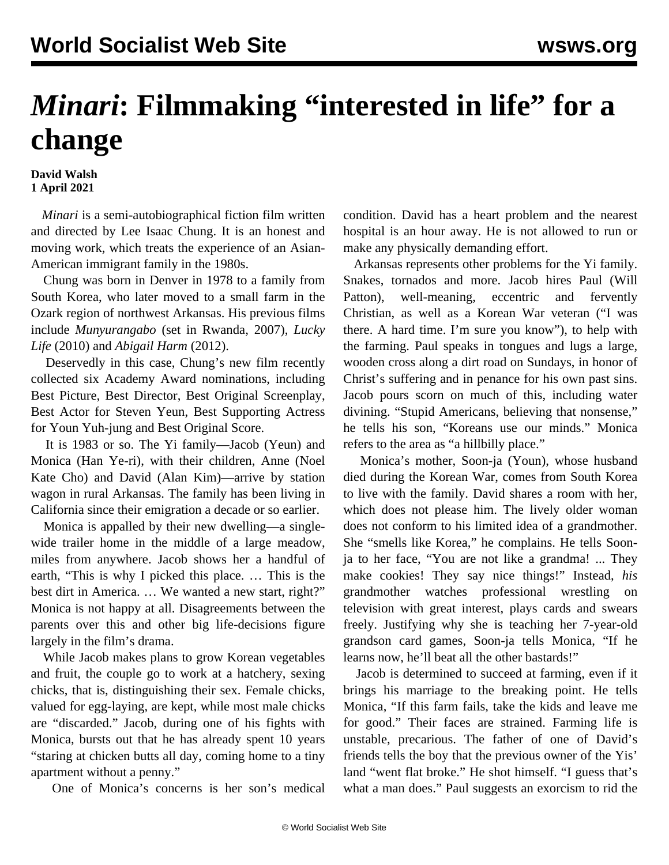## *Minari*: Filmmaking "interested in life" for a **change**

## **David Walsh 1 April 2021**

 *Minari* is a semi-autobiographical fiction film written and directed by Lee Isaac Chung. It is an honest and moving work, which treats the experience of an Asian-American immigrant family in the 1980s.

 Chung was born in Denver in 1978 to a family from South Korea, who later moved to a small farm in the Ozark region of northwest Arkansas. His previous films include *Munyurangabo* (set in Rwanda, 2007), *Lucky Life* (2010) and *Abigail Harm* (2012).

 Deservedly in this case, Chung's new film recently collected six Academy Award nominations, including Best Picture, Best Director, Best Original Screenplay, Best Actor for Steven Yeun, Best Supporting Actress for Youn Yuh-jung and Best Original Score.

 It is 1983 or so. The Yi family—Jacob (Yeun) and Monica (Han Ye-ri), with their children, Anne (Noel Kate Cho) and David (Alan Kim)—arrive by station wagon in rural Arkansas. The family has been living in California since their emigration a decade or so earlier.

 Monica is appalled by their new dwelling—a singlewide trailer home in the middle of a large meadow, miles from anywhere. Jacob shows her a handful of earth, "This is why I picked this place. … This is the best dirt in America. … We wanted a new start, right?" Monica is not happy at all. Disagreements between the parents over this and other big life-decisions figure largely in the film's drama.

 While Jacob makes plans to grow Korean vegetables and fruit, the couple go to work at a hatchery, sexing chicks, that is, distinguishing their sex. Female chicks, valued for egg-laying, are kept, while most male chicks are "discarded." Jacob, during one of his fights with Monica, bursts out that he has already spent 10 years "staring at chicken butts all day, coming home to a tiny apartment without a penny."

One of Monica's concerns is her son's medical

condition. David has a heart problem and the nearest hospital is an hour away. He is not allowed to run or make any physically demanding effort.

 Arkansas represents other problems for the Yi family. Snakes, tornados and more. Jacob hires Paul (Will Patton), well-meaning, eccentric and fervently Christian, as well as a Korean War veteran ("I was there. A hard time. I'm sure you know"), to help with the farming. Paul speaks in tongues and lugs a large, wooden cross along a dirt road on Sundays, in honor of Christ's suffering and in penance for his own past sins. Jacob pours scorn on much of this, including water divining. "Stupid Americans, believing that nonsense," he tells his son, "Koreans use our minds." Monica refers to the area as "a hillbilly place."

 Monica's mother, Soon-ja (Youn), whose husband died during the Korean War, comes from South Korea to live with the family. David shares a room with her, which does not please him. The lively older woman does not conform to his limited idea of a grandmother. She "smells like Korea," he complains. He tells Soonja to her face, "You are not like a grandma! ... They make cookies! They say nice things!" Instead, *his* grandmother watches professional wrestling on television with great interest, plays cards and swears freely. Justifying why she is teaching her 7-year-old grandson card games, Soon-ja tells Monica, "If he learns now, he'll beat all the other bastards!"

 Jacob is determined to succeed at farming, even if it brings his marriage to the breaking point. He tells Monica, "If this farm fails, take the kids and leave me for good." Their faces are strained. Farming life is unstable, precarious. The father of one of David's friends tells the boy that the previous owner of the Yis' land "went flat broke." He shot himself. "I guess that's what a man does." Paul suggests an exorcism to rid the